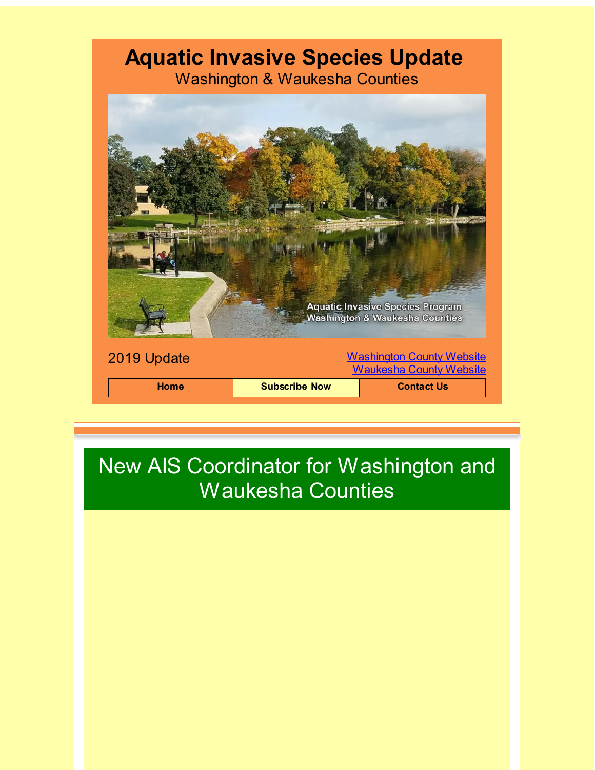## **Aquatic Invasive Species Update**

Washington & Waukesha Counties



## New AIS Coordinator for Washington and Waukesha Counties